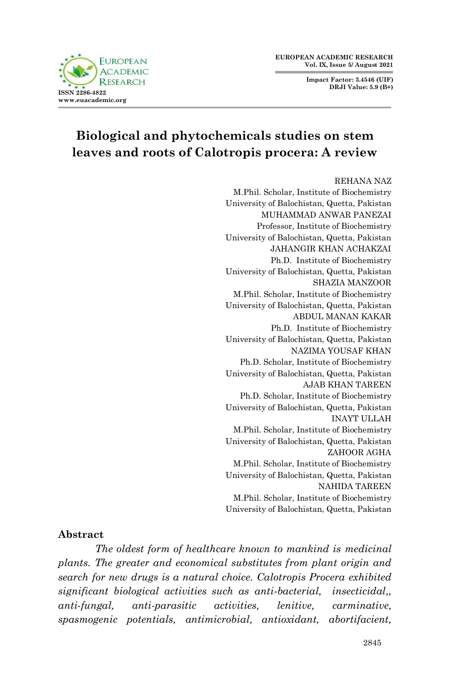**Impact Factor: 3.4546 (UIF) DRJI Value: 5.9 (B+)**



# **Biological and phytochemicals studies on stem leaves and roots of Calotropis procera: A review**

#### REHANA NAZ M.Phil. Scholar, Institute of Biochemistry University of Balochistan, Quetta, Pakistan MUHAMMAD ANWAR PANEZAI Professor, Institute of Biochemistry University of Balochistan, Quetta, Pakistan JAHANGIR KHAN ACHAKZAI Ph.D. Institute of Biochemistry University of Balochistan, Quetta, Pakistan SHAZIA MANZOOR M.Phil. Scholar, Institute of Biochemistry University of Balochistan, Quetta, Pakistan ABDUL MANAN KAKAR Ph.D. Institute of Biochemistry University of Balochistan, Quetta, Pakistan NAZIMA YOUSAF KHAN Ph.D. Scholar, Institute of Biochemistry University of Balochistan, Quetta, Pakistan AJAB KHAN TAREEN Ph.D. Scholar, Institute of Biochemistry University of Balochistan, Quetta, Pakistan INAYT ULLAH M.Phil. Scholar, Institute of Biochemistry University of Balochistan, Quetta, Pakistan ZAHOOR AGHA M.Phil. Scholar, Institute of Biochemistry University of Balochistan, Quetta, Pakistan NAHIDA TAREEN M.Phil. Scholar, Institute of Biochemistry University of Balochistan, Quetta, Pakistan

#### **Abstract**

*The oldest form of healthcare known to mankind is medicinal plants. The greater and economical substitutes from plant origin and search for new drugs is a natural choice. Calotropis Procera exhibited significant biological activities such as anti-bacterial, insecticidal,, anti-fungal, anti-parasitic activities, lenitive, carminative, spasmogenic potentials, antimicrobial, antioxidant, abortifacient,*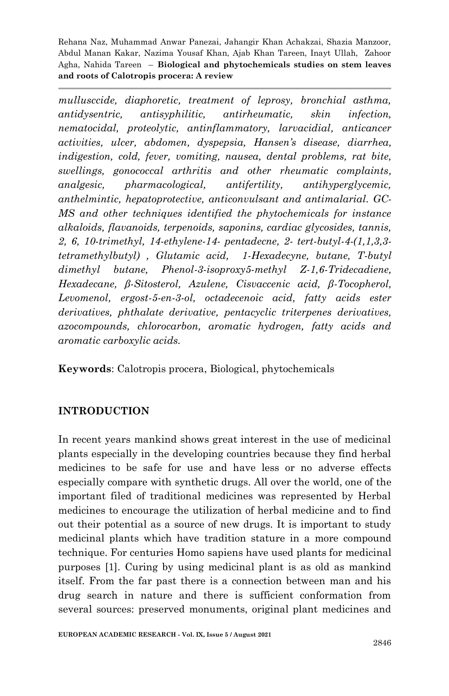*mullusccide, diaphoretic, treatment of leprosy, bronchial asthma, antidysentric, antisyphilitic, antirheumatic, skin infection, nematocidal, proteolytic, antinflammatory, larvacidial, anticancer activities, ulcer, abdomen, dyspepsia, Hansen's disease, diarrhea, indigestion, cold, fever, vomiting, nausea, dental problems, rat bite, swellings, gonococcal arthritis and other rheumatic complaints, analgesic, pharmacological, antifertility, antihyperglycemic, anthelmintic, hepatoprotective, anticonvulsant and antimalarial. GC-MS and other techniques identified the phytochemicals for instance alkaloids, flavanoids, terpenoids, saponins, cardiac glycosides, tannis, 2, 6, 10-trimethyl, 14-ethylene-14- pentadecne, 2- tert-butyl-4-(1,1,3,3 tetramethylbutyl) , Glutamic acid, 1-Hexadecyne, butane, T-butyl dimethyl butane, Phenol-3-isoproxy5-methyl Z-1,6-Tridecadiene, Hexadecane, β-Sitosterol, Azulene, Cisvaccenic acid, β-Tocopherol, Levomenol, ergost-5-en-3-ol, octadecenoic acid, fatty acids ester derivatives, phthalate derivative, pentacyclic triterpenes derivatives, azocompounds, chlorocarbon, aromatic hydrogen, fatty acids and aromatic carboxylic acids.*

**Keywords**: Calotropis procera, Biological, phytochemicals

# **INTRODUCTION**

In recent years mankind shows great interest in the use of medicinal plants especially in the developing countries because they find herbal medicines to be safe for use and have less or no adverse effects especially compare with synthetic drugs. All over the world, one of the important filed of traditional medicines was represented by Herbal medicines to encourage the utilization of herbal medicine and to find out their potential as a source of new drugs. It is important to study medicinal plants which have tradition stature in a more compound technique. For centuries Homo sapiens have used plants for medicinal purposes [1]. Curing by using medicinal plant is as old as mankind itself. From the far past there is a connection between man and his drug search in nature and there is sufficient conformation from several sources: preserved monuments, original plant medicines and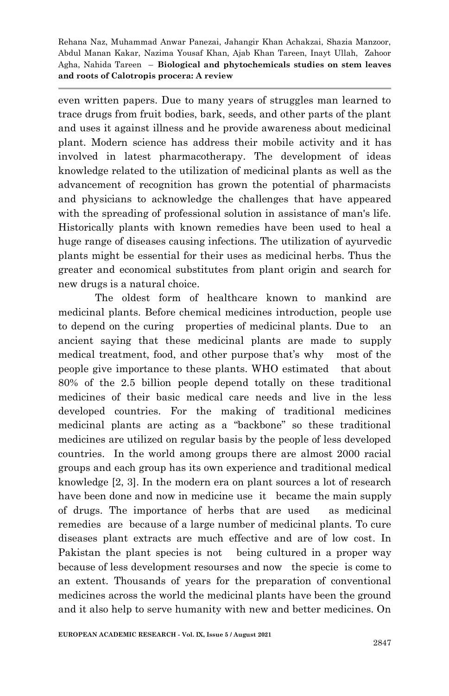even written papers. Due to many years of struggles man learned to trace drugs from fruit bodies, bark, seeds, and other parts of the plant and uses it against illness and he provide awareness about medicinal plant. Modern science has address their mobile activity and it has involved in latest pharmacotherapy. The development of ideas knowledge related to the utilization of medicinal plants as well as the advancement of recognition has grown the potential of pharmacists and physicians to acknowledge the challenges that have appeared with the spreading of professional solution in assistance of man's life. Historically plants with known remedies have been used to heal a huge range of diseases causing infections. The utilization of ayurvedic plants might be essential for their uses as medicinal herbs. Thus the greater and economical substitutes from plant origin and search for new drugs is a natural choice.

The oldest form of healthcare known to mankind are medicinal plants. Before chemical medicines introduction, people use to depend on the curing properties of medicinal plants. Due to an ancient saying that these medicinal plants are made to supply medical treatment, food, and other purpose that's why most of the people give importance to these plants. WHO estimated that about 80% of the 2.5 billion people depend totally on these traditional medicines of their basic medical care needs and live in the less developed countries. For the making of traditional medicines medicinal plants are acting as a "backbone" so these traditional medicines are utilized on regular basis by the people of less developed countries. In the world among groups there are almost 2000 racial groups and each group has its own experience and traditional medical knowledge [2, 3]. In the modern era on plant sources a lot of research have been done and now in medicine use it became the main supply of drugs. The importance of herbs that are used as medicinal remedies are because of a large number of medicinal plants. To cure diseases plant extracts are much effective and are of low cost. In Pakistan the plant species is not being cultured in a proper way because of less development resourses and now the specie is come to an extent. Thousands of years for the preparation of conventional medicines across the world the medicinal plants have been the ground and it also help to serve humanity with new and better medicines. On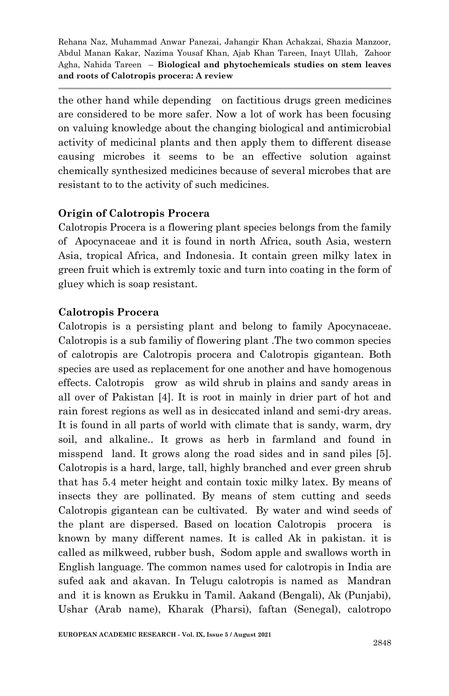the other hand while depending on factitious drugs green medicines are considered to be more safer. Now a lot of work has been focusing on valuing knowledge about the changing biological and antimicrobial activity of medicinal plants and then apply them to different disease causing microbes it seems to be an effective solution against chemically synthesized medicines because of several microbes that are resistant to to the activity of such medicines.

# **Origin of Calotropis Procera**

Calotropis Procera is a flowering plant species belongs from the family of Apocynaceae and it is found in north Africa, south Asia, western Asia, tropical Africa, and Indonesia. It contain green milky latex in green fruit which is extremly toxic and turn into coating in the form of gluey which is soap resistant.

# **Calotropis Procera**

Calotropis is a persisting plant and belong to family Apocynaceae. Calotropis is a sub familiy of flowering plant .The two common species of calotropis are Calotropis procera and Calotropis gigantean. Both species are used as replacement for one another and have homogenous effects. Calotropis grow as wild shrub in plains and sandy areas in all over of Pakistan [4]. It is root in mainly in drier part of hot and rain forest regions as well as in desiccated inland and semi-dry areas. It is found in all parts of world with climate that is sandy, warm, dry soil, and alkaline.. It grows as herb in farmland and found in misspend land. It grows along the road sides and in sand piles [5]. Calotropis is a hard, large, tall, highly branched and ever green shrub that has 5.4 meter height and contain toxic milky latex. By means of insects they are pollinated. By means of stem cutting and seeds Calotropis gigantean can be cultivated. By water and wind seeds of the plant are dispersed. Based on location Calotropis procera is known by many different names. It is called Ak in pakistan. it is called as milkweed, rubber bush, Sodom apple and swallows worth in English language. The common names used for calotropis in India are sufed aak and akavan. In Telugu calotropis is named as Mandran and it is known as Erukku in Tamil. Aakand (Bengali), Ak (Punjabi), Ushar (Arab name), Kharak (Pharsi), faftan (Senegal), calotropo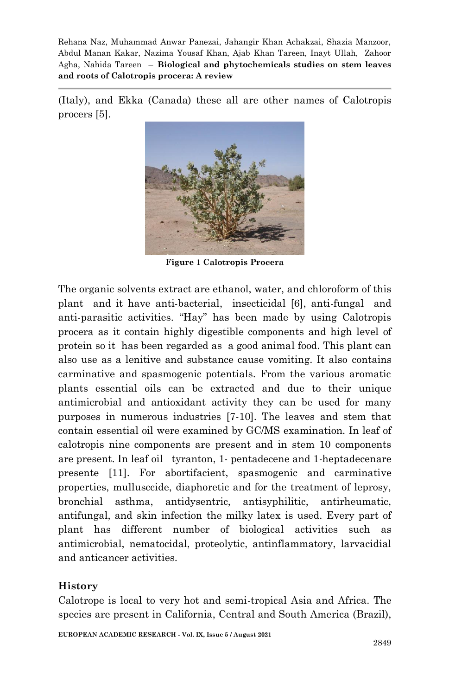(Italy), and Ekka (Canada) these all are other names of Calotropis procers [5].



**Figure 1 Calotropis Procera**

The organic solvents extract are ethanol, water, and chloroform of this plant and it have anti-bacterial, insecticidal [6], anti-fungal and anti-parasitic activities. "Hay" has been made by using Calotropis procera as it contain highly digestible components and high level of protein so it has been regarded as a good animal food. This plant can also use as a lenitive and substance cause vomiting. It also contains carminative and spasmogenic potentials. From the various aromatic plants essential oils can be extracted and due to their unique antimicrobial and antioxidant activity they can be used for many purposes in numerous industries [7-10]. The leaves and stem that contain essential oil were examined by GC/MS examination. In leaf of calotropis nine components are present and in stem 10 components are present. In leaf oil tyranton, 1- pentadecene and 1-heptadecenare presente [11]. For abortifacient, spasmogenic and carminative properties, mullusccide, diaphoretic and for the treatment of leprosy, bronchial asthma, antidysentric, antisyphilitic, antirheumatic, antifungal, and skin infection the milky latex is used. Every part of plant has different number of biological activities such as antimicrobial, nematocidal, proteolytic, antinflammatory, larvacidial and anticancer activities.

# **History**

Calotrope is local to very hot and semi-tropical Asia and Africa. The species are present in California, Central and South America (Brazil),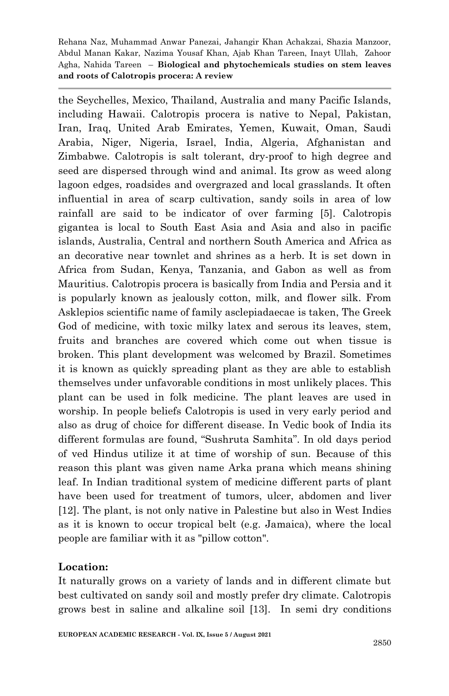the Seychelles, Mexico, Thailand, Australia and many Pacific Islands, including Hawaii. Calotropis procera is native to Nepal, Pakistan, Iran, Iraq, United Arab Emirates, Yemen, Kuwait, Oman, Saudi Arabia, Niger, Nigeria, Israel, India, Algeria, Afghanistan and Zimbabwe. Calotropis is salt tolerant, dry-proof to high degree and seed are dispersed through wind and animal. Its grow as weed along lagoon edges, roadsides and overgrazed and local grasslands. It often influential in area of scarp cultivation, sandy soils in area of low rainfall are said to be indicator of over farming [5]. Calotropis gigantea is local to South East Asia and Asia and also in pacific islands, Australia, Central and northern South America and Africa as an decorative near townlet and shrines as a herb. It is set down in Africa from Sudan, Kenya, Tanzania, and Gabon as well as from Mauritius. Calotropis procera is basically from India and Persia and it is popularly known as jealously cotton, milk, and flower silk. From Asklepios scientific name of family asclepiadaecae is taken, The Greek God of medicine, with toxic milky latex and serous its leaves, stem, fruits and branches are covered which come out when tissue is broken. This plant development was welcomed by Brazil. Sometimes it is known as quickly spreading plant as they are able to establish themselves under unfavorable conditions in most unlikely places. This plant can be used in folk medicine. The plant leaves are used in worship. In people beliefs Calotropis is used in very early period and also as drug of choice for different disease. In Vedic book of India its different formulas are found, "Sushruta Samhita". In old days period of ved Hindus utilize it at time of worship of sun. Because of this reason this plant was given name Arka prana which means shining leaf. In Indian traditional system of medicine different parts of plant have been used for treatment of tumors, ulcer, abdomen and liver [12]. The plant, is not only native in Palestine but also in West Indies as it is known to occur tropical belt (e.g. Jamaica), where the local people are familiar with it as "pillow cotton".

#### **Location:**

It naturally grows on a variety of lands and in different climate but best cultivated on sandy soil and mostly prefer dry climate. Calotropis grows best in saline and alkaline soil [13]. In semi dry conditions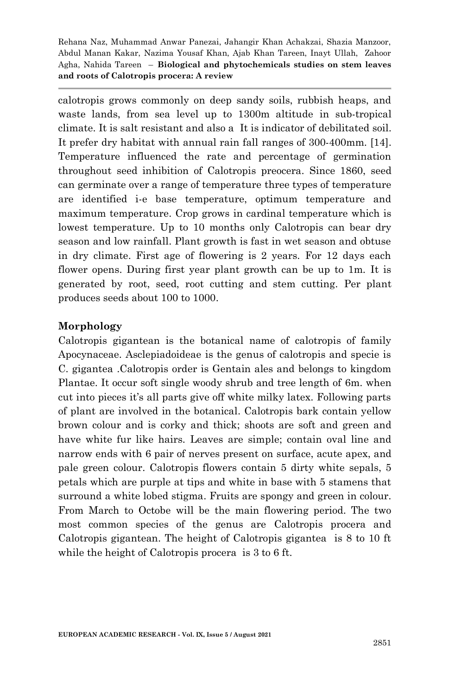calotropis grows commonly on deep sandy soils, rubbish heaps, and waste lands, from sea level up to 1300m altitude in sub-tropical climate. It is salt resistant and also a It is indicator of debilitated soil. It prefer dry habitat with annual rain fall ranges of 300-400mm. [14]. Temperature influenced the rate and percentage of germination throughout seed inhibition of Calotropis preocera. Since 1860, seed can germinate over a range of temperature three types of temperature are identified i-e base temperature, optimum temperature and maximum temperature. Crop grows in cardinal temperature which is lowest temperature. Up to 10 months only Calotropis can bear dry season and low rainfall. Plant growth is fast in wet season and obtuse in dry climate. First age of flowering is 2 years. For 12 days each flower opens. During first year plant growth can be up to 1m. It is generated by root, seed, root cutting and stem cutting. Per plant produces seeds about 100 to 1000.

## **Morphology**

Calotropis gigantean is the botanical name of calotropis of family Apocynaceae. Asclepiadoideae is the genus of calotropis and specie is C. gigantea .Calotropis order is Gentain ales and belongs to kingdom Plantae. It occur soft single woody shrub and tree length of 6m. when cut into pieces it's all parts give off white milky latex. Following parts of plant are involved in the botanical. Calotropis bark contain yellow brown colour and is corky and thick; shoots are soft and green and have white fur like hairs. Leaves are simple; contain oval line and narrow ends with 6 pair of nerves present on surface, acute apex, and pale green colour. Calotropis flowers contain 5 dirty white sepals, 5 petals which are purple at tips and white in base with 5 stamens that surround a white lobed stigma. Fruits are spongy and green in colour. From March to Octobe will be the main flowering period. The two most common species of the genus are Calotropis procera and Calotropis gigantean. The height of Calotropis gigantea is 8 to 10 ft while the height of Calotropis procera is 3 to 6 ft.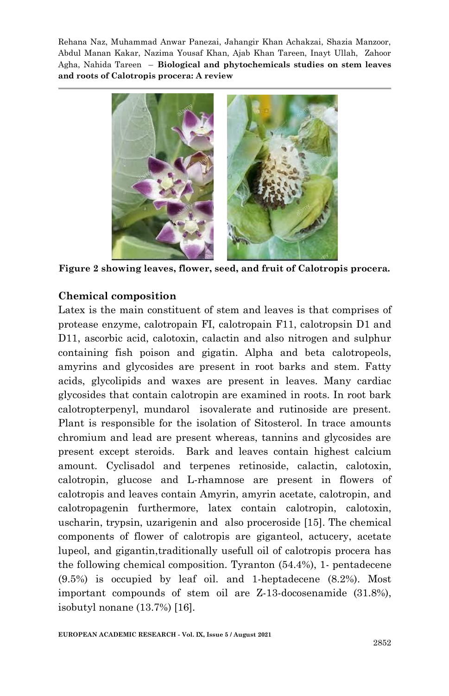

**Figure 2 showing leaves, flower, seed, and fruit of Calotropis procera.**

#### **Chemical composition**

Latex is the main constituent of stem and leaves is that comprises of protease enzyme, calotropain FI, calotropain F11, calotropsin D1 and D11, ascorbic acid, calotoxin, calactin and also nitrogen and sulphur containing fish poison and gigatin. Alpha and beta calotropeols, amyrins and glycosides are present in root barks and stem. Fatty acids, glycolipids and waxes are present in leaves. Many cardiac glycosides that contain calotropin are examined in roots. In root bark calotropterpenyl, mundarol isovalerate and rutinoside are present. Plant is responsible for the isolation of Sitosterol. In trace amounts chromium and lead are present whereas, tannins and glycosides are present except steroids. Bark and leaves contain highest calcium amount. Cyclisadol and terpenes retinoside, calactin, calotoxin, calotropin, glucose and L-rhamnose are present in flowers of calotropis and leaves contain Amyrin, amyrin acetate, calotropin, and calotropagenin furthermore, latex contain calotropin, calotoxin, uscharin, trypsin, uzarigenin and also proceroside [15]. The chemical components of flower of calotropis are giganteol, actucery, acetate lupeol, and gigantin,traditionally usefull oil of calotropis procera has the following chemical composition. Tyranton (54.4%), 1- pentadecene (9.5%) is occupied by leaf oil. and 1-heptadecene (8.2%). Most important compounds of stem oil are Z-13-docosenamide (31.8%), isobutyl nonane (13.7%) [16].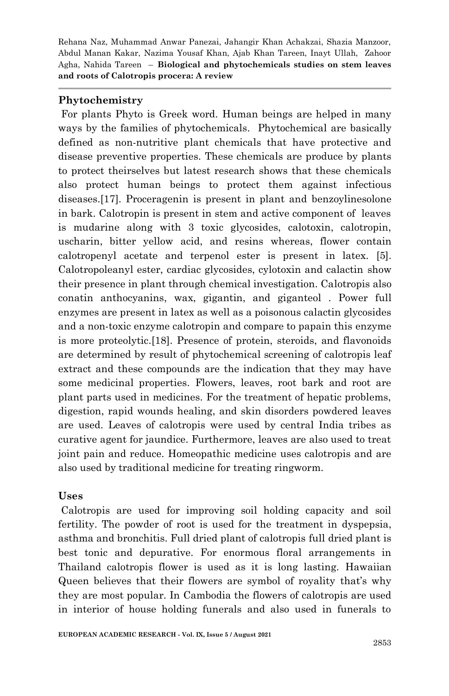#### **Phytochemistry**

For plants Phyto is Greek word. Human beings are helped in many ways by the families of phytochemicals. Phytochemical are basically defined as non-nutritive plant chemicals that have protective and disease preventive properties. These chemicals are produce by plants to protect theirselves but latest research shows that these chemicals also protect human beings to protect them against infectious diseases.[17]. Proceragenin is present in plant and benzoylinesolone in bark. Calotropin is present in stem and active component of leaves is mudarine along with 3 toxic glycosides, calotoxin, calotropin, uscharin, bitter yellow acid, and resins whereas, flower contain calotropenyl acetate and terpenol ester is present in latex. [5]. Calotropoleanyl ester, cardiac glycosides, cylotoxin and calactin show their presence in plant through chemical investigation. Calotropis also conatin anthocyanins, wax, gigantin, and giganteol . Power full enzymes are present in latex as well as a poisonous calactin glycosides and a non-toxic enzyme calotropin and compare to papain this enzyme is more proteolytic.[18]. Presence of protein, steroids, and flavonoids are determined by result of phytochemical screening of calotropis leaf extract and these compounds are the indication that they may have some medicinal properties. Flowers, leaves, root bark and root are plant parts used in medicines. For the treatment of hepatic problems, digestion, rapid wounds healing, and skin disorders powdered leaves are used. Leaves of calotropis were used by central India tribes as curative agent for jaundice. Furthermore, leaves are also used to treat joint pain and reduce. Homeopathic medicine uses calotropis and are also used by traditional medicine for treating ringworm.

#### **Uses**

Calotropis are used for improving soil holding capacity and soil fertility. The powder of root is used for the treatment in dyspepsia, asthma and bronchitis. Full dried plant of calotropis full dried plant is best tonic and depurative. For enormous floral arrangements in Thailand calotropis flower is used as it is long lasting. Hawaiian Queen believes that their flowers are symbol of royality that's why they are most popular. In Cambodia the flowers of calotropis are used in interior of house holding funerals and also used in funerals to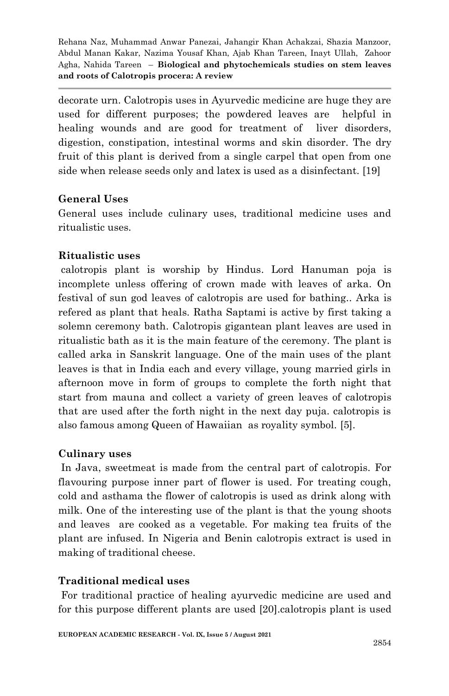decorate urn. Calotropis uses in Ayurvedic medicine are huge they are used for different purposes; the powdered leaves are helpful in healing wounds and are good for treatment of liver disorders, digestion, constipation, intestinal worms and skin disorder. The dry fruit of this plant is derived from a single carpel that open from one side when release seeds only and latex is used as a disinfectant. [19]

## **General Uses**

General uses include culinary uses, traditional medicine uses and ritualistic uses.

# **Ritualistic uses**

calotropis plant is worship by Hindus. Lord Hanuman poja is incomplete unless offering of crown made with leaves of arka. On festival of sun god leaves of calotropis are used for bathing.. Arka is refered as plant that heals. Ratha Saptami is active by first taking a solemn ceremony bath. Calotropis gigantean plant leaves are used in ritualistic bath as it is the main feature of the ceremony. The plant is called arka in Sanskrit language. One of the main uses of the plant leaves is that in India each and every village, young married girls in afternoon move in form of groups to complete the forth night that start from mauna and collect a variety of green leaves of calotropis that are used after the forth night in the next day puja. calotropis is also famous among Queen of Hawaiian as royality symbol. [5].

# **Culinary uses**

In Java, sweetmeat is made from the central part of calotropis. For flavouring purpose inner part of flower is used. For treating cough, cold and asthama the flower of calotropis is used as drink along with milk. One of the interesting use of the plant is that the young shoots and leaves are cooked as a vegetable. For making tea fruits of the plant are infused. In Nigeria and Benin calotropis extract is used in making of traditional cheese.

# **Traditional medical uses**

For traditional practice of healing ayurvedic medicine are used and for this purpose different plants are used [20].calotropis plant is used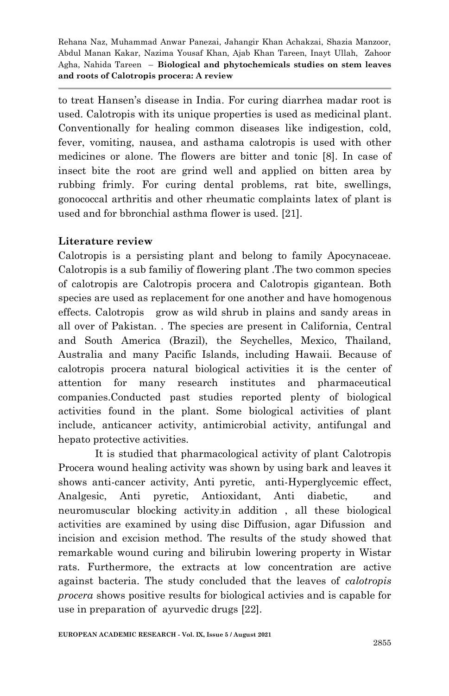to treat Hansen's disease in India. For curing diarrhea madar root is used. Calotropis with its unique properties is used as medicinal plant. Conventionally for healing common diseases like indigestion, cold, fever, vomiting, nausea, and asthama calotropis is used with other medicines or alone. The flowers are bitter and tonic [8]. In case of insect bite the root are grind well and applied on bitten area by rubbing frimly. For curing dental problems, rat bite, swellings, gonococcal arthritis and other rheumatic complaints latex of plant is used and for bbronchial asthma flower is used. [21].

## **Literature review**

Calotropis is a persisting plant and belong to family Apocynaceae. Calotropis is a sub familiy of flowering plant .The two common species of calotropis are Calotropis procera and Calotropis gigantean. Both species are used as replacement for one another and have homogenous effects. Calotropis grow as wild shrub in plains and sandy areas in all over of Pakistan. . The species are present in California, Central and South America (Brazil), the Seychelles, Mexico, Thailand, Australia and many Pacific Islands, including Hawaii. Because of calotropis procera natural biological activities it is the center of attention for many research institutes and pharmaceutical companies.Conducted past studies reported plenty of biological activities found in the plant. Some biological activities of plant include, anticancer activity, antimicrobial activity, antifungal and hepato protective activities.

It is studied that pharmacological activity of plant Calotropis Procera wound healing activity was shown by using bark and leaves it shows anti-cancer activity, Anti pyretic, anti-Hyperglycemic effect, Analgesic, Anti pyretic, Antioxidant, Anti diabetic, and neuromuscular blocking activity.in addition , all these biological activities are examined by using disc Diffusion, agar Difussion and incision and excision method. The results of the study showed that remarkable wound curing and bilirubin lowering property in Wistar rats. Furthermore, the extracts at low concentration are active against bacteria. The study concluded that the leaves of *calotropis procera* shows positive results for biological activies and is capable for use in preparation of ayurvedic drugs [22].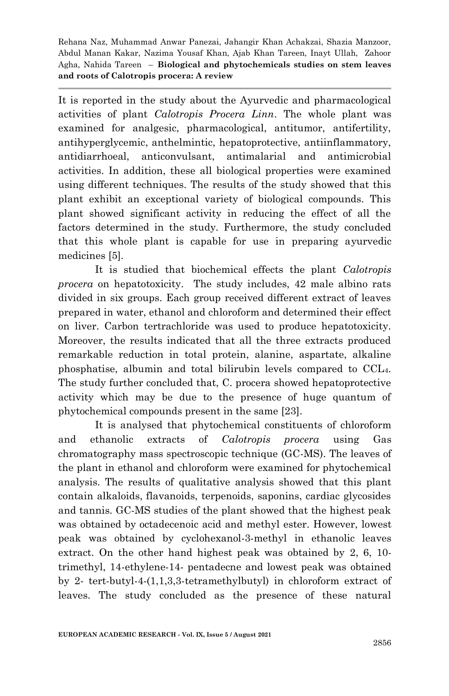It is reported in the study about the Ayurvedic and pharmacological activities of plant *Calotropis Procera Linn*. The whole plant was examined for analgesic, pharmacological, antitumor, antifertility, antihyperglycemic, anthelmintic, hepatoprotective, antiinflammatory, antidiarrhoeal, anticonvulsant, antimalarial and antimicrobial activities. In addition, these all biological properties were examined using different techniques. The results of the study showed that this plant exhibit an exceptional variety of biological compounds. This plant showed significant activity in reducing the effect of all the factors determined in the study. Furthermore, the study concluded that this whole plant is capable for use in preparing ayurvedic medicines [5].

It is studied that biochemical effects the plant *Calotropis procera* on hepatotoxicity. The study includes, 42 male albino rats divided in six groups. Each group received different extract of leaves prepared in water, ethanol and chloroform and determined their effect on liver. Carbon tertrachloride was used to produce hepatotoxicity. Moreover, the results indicated that all the three extracts produced remarkable reduction in total protein, alanine, aspartate, alkaline phosphatise, albumin and total bilirubin levels compared to CCL4. The study further concluded that, C. procera showed hepatoprotective activity which may be due to the presence of huge quantum of phytochemical compounds present in the same [23].

It is analysed that phytochemical constituents of chloroform and ethanolic extracts of *Calotropis procera* using Gas chromatography mass spectroscopic technique (GC-MS). The leaves of the plant in ethanol and chloroform were examined for phytochemical analysis. The results of qualitative analysis showed that this plant contain alkaloids, flavanoids, terpenoids, saponins, cardiac glycosides and tannis. GC-MS studies of the plant showed that the highest peak was obtained by octadecenoic acid and methyl ester. However, lowest peak was obtained by cyclohexanol-3-methyl in ethanolic leaves extract. On the other hand highest peak was obtained by 2, 6, 10 trimethyl, 14-ethylene-14- pentadecne and lowest peak was obtained by 2- tert-butyl-4-(1,1,3,3-tetramethylbutyl) in chloroform extract of leaves. The study concluded as the presence of these natural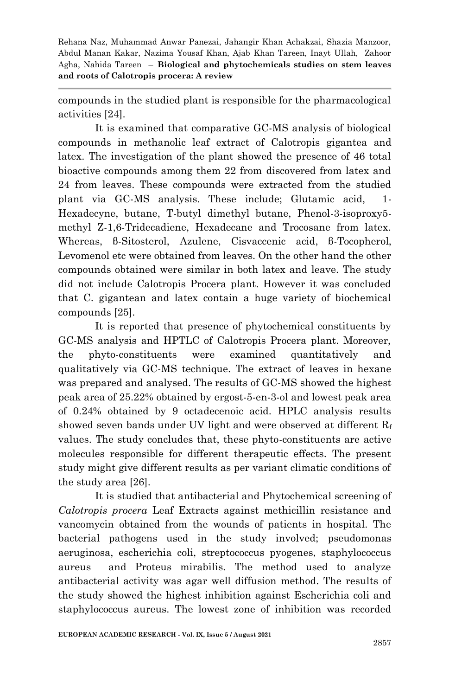compounds in the studied plant is responsible for the pharmacological activities [24].

It is examined that comparative GC-MS analysis of biological compounds in methanolic leaf extract of Calotropis gigantea and latex. The investigation of the plant showed the presence of 46 total bioactive compounds among them 22 from discovered from latex and 24 from leaves. These compounds were extracted from the studied plant via GC-MS analysis. These include; Glutamic acid, 1- Hexadecyne, butane, T-butyl dimethyl butane, Phenol-3-isoproxy5 methyl Z-1,6-Tridecadiene, Hexadecane and Trocosane from latex. Whereas, β-Sitosterol, Azulene, Cisvaccenic acid, β-Tocopherol, Levomenol etc were obtained from leaves. On the other hand the other compounds obtained were similar in both latex and leave. The study did not include Calotropis Procera plant. However it was concluded that C. gigantean and latex contain a huge variety of biochemical compounds [25].

It is reported that presence of phytochemical constituents by GC-MS analysis and HPTLC of Calotropis Procera plant. Moreover, the phyto-constituents were examined quantitatively and qualitatively via GC-MS technique. The extract of leaves in hexane was prepared and analysed. The results of GC-MS showed the highest peak area of 25.22% obtained by ergost-5-en-3-ol and lowest peak area of 0.24% obtained by 9 octadecenoic acid. HPLC analysis results showed seven bands under UV light and were observed at different  $R_f$ values. The study concludes that, these phyto-constituents are active molecules responsible for different therapeutic effects. The present study might give different results as per variant climatic conditions of the study area [26].

It is studied that antibacterial and Phytochemical screening of *Calotropis procera* Leaf Extracts against methicillin resistance and vancomycin obtained from the wounds of patients in hospital. The bacterial pathogens used in the study involved; pseudomonas aeruginosa, escherichia coli, streptococcus pyogenes, staphylococcus aureus and Proteus mirabilis. The method used to analyze antibacterial activity was agar well diffusion method. The results of the study showed the highest inhibition against Escherichia coli and staphylococcus aureus. The lowest zone of inhibition was recorded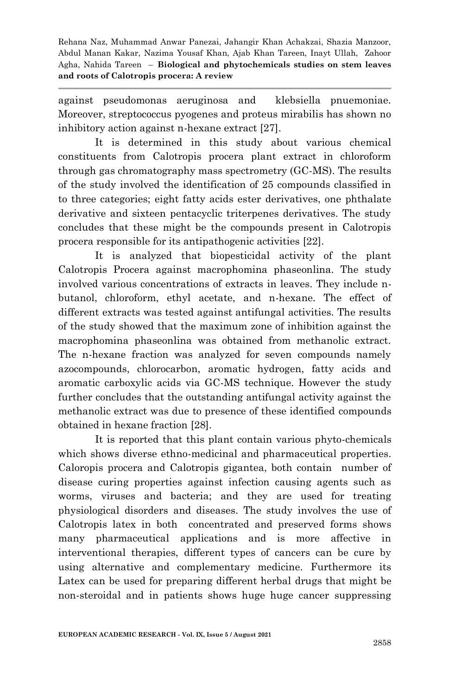against pseudomonas aeruginosa and klebsiella pnuemoniae. Moreover, streptococcus pyogenes and proteus mirabilis has shown no inhibitory action against n-hexane extract [27].

It is determined in this study about various chemical constituents from Calotropis procera plant extract in chloroform through gas chromatography mass spectrometry (GC-MS). The results of the study involved the identification of 25 compounds classified in to three categories; eight fatty acids ester derivatives, one phthalate derivative and sixteen pentacyclic triterpenes derivatives. The study concludes that these might be the compounds present in Calotropis procera responsible for its antipathogenic activities [22].

It is analyzed that biopesticidal activity of the plant Calotropis Procera against macrophomina phaseonlina. The study involved various concentrations of extracts in leaves. They include nbutanol, chloroform, ethyl acetate, and n-hexane. The effect of different extracts was tested against antifungal activities. The results of the study showed that the maximum zone of inhibition against the macrophomina phaseonlina was obtained from methanolic extract. The n-hexane fraction was analyzed for seven compounds namely azocompounds, chlorocarbon, aromatic hydrogen, fatty acids and aromatic carboxylic acids via GC-MS technique. However the study further concludes that the outstanding antifungal activity against the methanolic extract was due to presence of these identified compounds obtained in hexane fraction [28].

It is reported that this plant contain various phyto-chemicals which shows diverse ethno-medicinal and pharmaceutical properties. Caloropis procera and Calotropis gigantea, both contain number of disease curing properties against infection causing agents such as worms, viruses and bacteria; and they are used for treating physiological disorders and diseases. The study involves the use of Calotropis latex in both concentrated and preserved forms shows many pharmaceutical applications and is more affective in interventional therapies, different types of cancers can be cure by using alternative and complementary medicine. Furthermore its Latex can be used for preparing different herbal drugs that might be non-steroidal and in patients shows huge huge cancer suppressing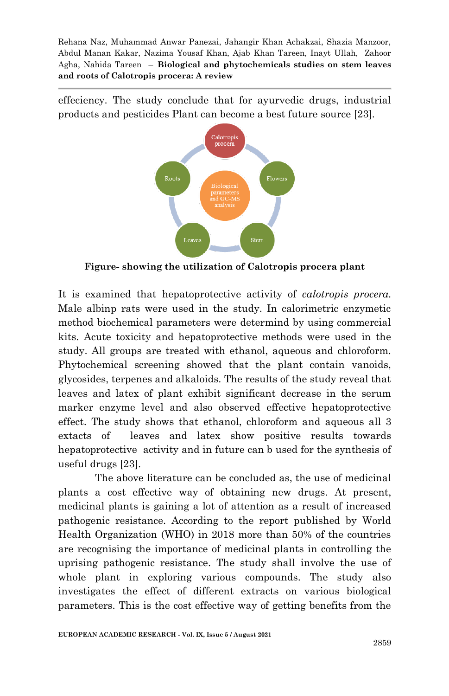effeciency. The study conclude that for ayurvedic drugs, industrial products and pesticides Plant can become a best future source [23].



**Figure- showing the utilization of Calotropis procera plant**

It is examined that hepatoprotective activity of *calotropis procera.* Male albinp rats were used in the study. In calorimetric enzymetic method biochemical parameters were determind by using commercial kits. Acute toxicity and hepatoprotective methods were used in the study. All groups are treated with ethanol, aqueous and chloroform. Phytochemical screening showed that the plant contain vanoids, glycosides, terpenes and alkaloids. The results of the study reveal that leaves and latex of plant exhibit significant decrease in the serum marker enzyme level and also observed effective hepatoprotective effect. The study shows that ethanol, chloroform and aqueous all 3 extacts of leaves and latex show positive results towards hepatoprotective activity and in future can b used for the synthesis of useful drugs [23].

The above literature can be concluded as, the use of medicinal plants a cost effective way of obtaining new drugs. At present, medicinal plants is gaining a lot of attention as a result of increased pathogenic resistance. According to the report published by World Health Organization (WHO) in 2018 more than 50% of the countries are recognising the importance of medicinal plants in controlling the uprising pathogenic resistance. The study shall involve the use of whole plant in exploring various compounds. The study also investigates the effect of different extracts on various biological parameters. This is the cost effective way of getting benefits from the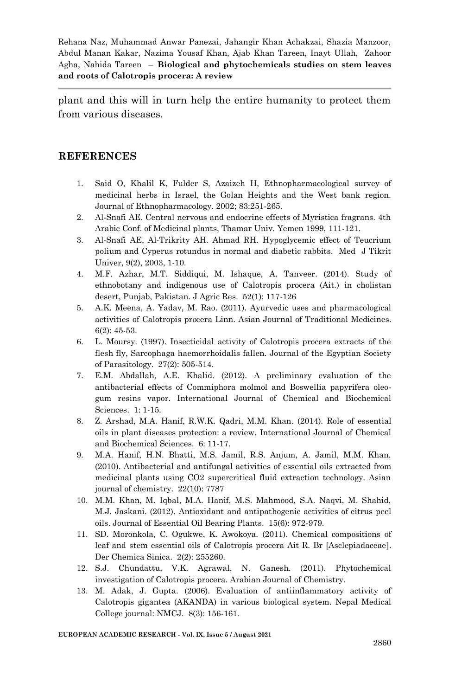plant and this will in turn help the entire humanity to protect them from various diseases.

#### **REFERENCES**

- 1. Said O, Khalil K, Fulder S, Azaizeh H, Ethnopharmacological survey of medicinal herbs in Israel, the Golan Heights and the West bank region. Journal of Ethnopharmacology. 2002; 83:251-265.
- 2. Al-Snafi AE. Central nervous and endocrine effects of Myristica fragrans. 4th Arabic Conf. of Medicinal plants, Thamar Univ. Yemen 1999, 111-121.
- 3. Al-Snafi AE, Al-Trikrity AH. Ahmad RH. Hypoglycemic effect of Teucrium polium and Cyperus rotundus in normal and diabetic rabbits. Med J Tikrit Univer, 9(2), 2003, 1-10.
- 4. M.F. Azhar, M.T. Siddiqui, M. Ishaque, A. Tanveer. (2014). Study of ethnobotany and indigenous use of Calotropis procera (Ait.) in cholistan desert, Punjab, Pakistan. J Agric Res. 52(1): 117-126
- 5. A.K. Meena, A. Yadav, M. Rao. (2011). Ayurvedic uses and pharmacological activities of Calotropis procera Linn. Asian Journal of Traditional Medicines. 6(2): 45-53.
- 6. L. Moursy. (1997). Insecticidal activity of Calotropis procera extracts of the flesh fly, Sarcophaga haemorrhoidalis fallen. Journal of the Egyptian Society of Parasitology. 27(2): 505-514.
- 7. E.M. Abdallah, A.E. Khalid. (2012). A preliminary evaluation of the antibacterial effects of Commiphora molmol and Boswellia papyrifera oleogum resins vapor. International Journal of Chemical and Biochemical Sciences. 1: 1-15.
- 8. Z. Arshad, M.A. Hanif, R.W.K. Qadri, M.M. Khan. (2014). Role of essential oils in plant diseases protection: a review. International Journal of Chemical and Biochemical Sciences. 6: 11-17.
- 9. M.A. Hanif, H.N. Bhatti, M.S. Jamil, R.S. Anjum, A. Jamil, M.M. Khan. (2010). Antibacterial and antifungal activities of essential oils extracted from medicinal plants using CO2 supercritical fluid extraction technology. Asian journal of chemistry. 22(10): 7787
- 10. M.M. Khan, M. Iqbal, M.A. Hanif, M.S. Mahmood, S.A. Naqvi, M. Shahid, M.J. Jaskani. (2012). Antioxidant and antipathogenic activities of citrus peel oils. Journal of Essential Oil Bearing Plants. 15(6): 972-979.
- 11. SD. Moronkola, C. Ogukwe, K. Awokoya. (2011). Chemical compositions of leaf and stem essential oils of Calotropis procera Ait R. Br [Asclepiadaceae]. Der Chemica Sinica. 2(2): 255260.
- 12. S.J. Chundattu, V.K. Agrawal, N. Ganesh. (2011). Phytochemical investigation of Calotropis procera. Arabian Journal of Chemistry.
- 13. M. Adak, J. Gupta. (2006). Evaluation of antiinflammatory activity of Calotropis gigantea (AKANDA) in various biological system. Nepal Medical College journal: NMCJ. 8(3): 156-161.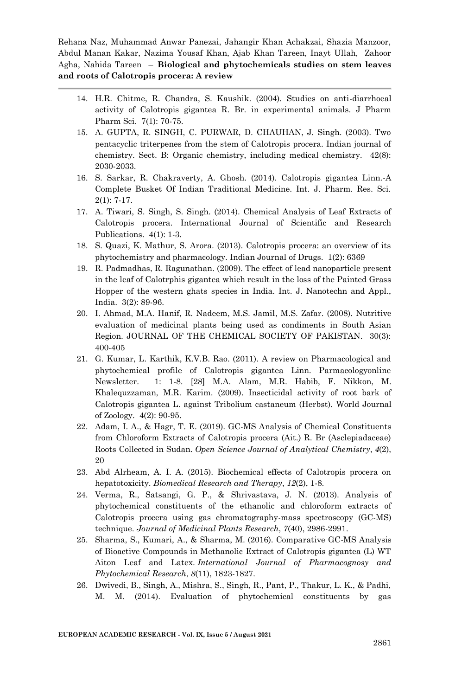- 14. H.R. Chitme, R. Chandra, S. Kaushik. (2004). Studies on anti-diarrhoeal activity of Calotropis gigantea R. Br. in experimental animals. J Pharm Pharm Sci. 7(1): 70-75.
- 15. A. GUPTA, R. SINGH, C. PURWAR, D. CHAUHAN, J. Singh. (2003). Two pentacyclic triterpenes from the stem of Calotropis procera. Indian journal of chemistry. Sect. B: Organic chemistry, including medical chemistry. 42(8): 2030-2033.
- 16. S. Sarkar, R. Chakraverty, A. Ghosh. (2014). Calotropis gigantea Linn.-A Complete Busket Of Indian Traditional Medicine. Int. J. Pharm. Res. Sci. 2(1): 7-17.
- 17. A. Tiwari, S. Singh, S. Singh. (2014). Chemical Analysis of Leaf Extracts of Calotropis procera. International Journal of Scientific and Research Publications. 4(1): 1-3.
- 18. S. Quazi, K. Mathur, S. Arora. (2013). Calotropis procera: an overview of its phytochemistry and pharmacology. Indian Journal of Drugs. 1(2): 6369
- 19. R. Padmadhas, R. Ragunathan. (2009). The effect of lead nanoparticle present in the leaf of Calotrphis gigantea which result in the loss of the Painted Grass Hopper of the western ghats species in India. Int. J. Nanotechn and Appl., India. 3(2): 89-96.
- 20. I. Ahmad, M.A. Hanif, R. Nadeem, M.S. Jamil, M.S. Zafar. (2008). Nutritive evaluation of medicinal plants being used as condiments in South Asian Region. JOURNAL OF THE CHEMICAL SOCIETY OF PAKISTAN. 30(3): 400-405
- 21. G. Kumar, L. Karthik, K.V.B. Rao. (2011). A review on Pharmacological and phytochemical profile of Calotropis gigantea Linn. Parmacologyonline Newsletter. 1: 1-8. [28] M.A. Alam, M.R. Habib, F. Nikkon, M. Khalequzzaman, M.R. Karim. (2009). Insecticidal activity of root bark of Calotropis gigantea L. against Tribolium castaneum (Herbst). World Journal of Zoology. 4(2): 90-95.
- 22. Adam, I. A., & Hagr, T. E. (2019). GC-MS Analysis of Chemical Constituents from Chloroform Extracts of Calotropis procera (Ait.) R. Br (Asclepiadaceae) Roots Collected in Sudan. *Open Science Journal of Analytical Chemistry*, *4*(2), 20
- 23. Abd Alrheam, A. I. A. (2015). Biochemical effects of Calotropis procera on hepatotoxicity. *Biomedical Research and Therapy*, *12*(2), 1-8.
- 24. Verma, R., Satsangi, G. P., & Shrivastava, J. N. (2013). Analysis of phytochemical constituents of the ethanolic and chloroform extracts of Calotropis procera using gas chromatography-mass spectroscopy (GC-MS) technique. *Journal of Medicinal Plants Research*, *7*(40), 2986-2991.
- 25. Sharma, S., Kumari, A., & Sharma, M. (2016). Comparative GC-MS Analysis of Bioactive Compounds in Methanolic Extract of Calotropis gigantea (L) WT Aiton Leaf and Latex. *International Journal of Pharmacognosy and Phytochemical Research*, *8*(11), 1823-1827.
- 26. Dwivedi, B., Singh, A., Mishra, S., Singh, R., Pant, P., Thakur, L. K., & Padhi, M. M. (2014). Evaluation of phytochemical constituents by gas